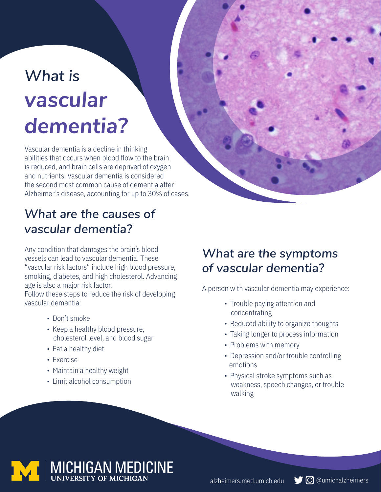# *What is vascular dementia?*

Vascular dementia is a decline in thinking abilities that occurs when blood flow to the brain is reduced, and brain cells are deprived of oxygen and nutrients. Vascular dementia is considered the second most common cause of dementia after Alzheimer's disease, accounting for up to 30% of cases.

#### *What are the causes of vascular dementia?*

Any condition that damages the brain's blood vessels can lead to vascular dementia. These "vascular risk factors" include high blood pressure, smoking, diabetes, and high cholesterol. Advancing age is also a major risk factor.

Follow these steps to reduce the risk of developing vascular dementia:

- Don't smoke
- Keep a healthy blood pressure, cholesterol level, and blood sugar
- Eat a healthy diet
- Exercise
- Maintain a healthy weight
- Limit alcohol consumption

### *What are the symptoms of vascular dementia?*

A person with vascular dementia may experience:

- Trouble paying attention and concentrating
- Reduced ability to organize thoughts
- Taking longer to process information
- Problems with memory
- Depression and/or trouble controlling emotions
- Physical stroke symptoms such as weakness, speech changes, or trouble walking